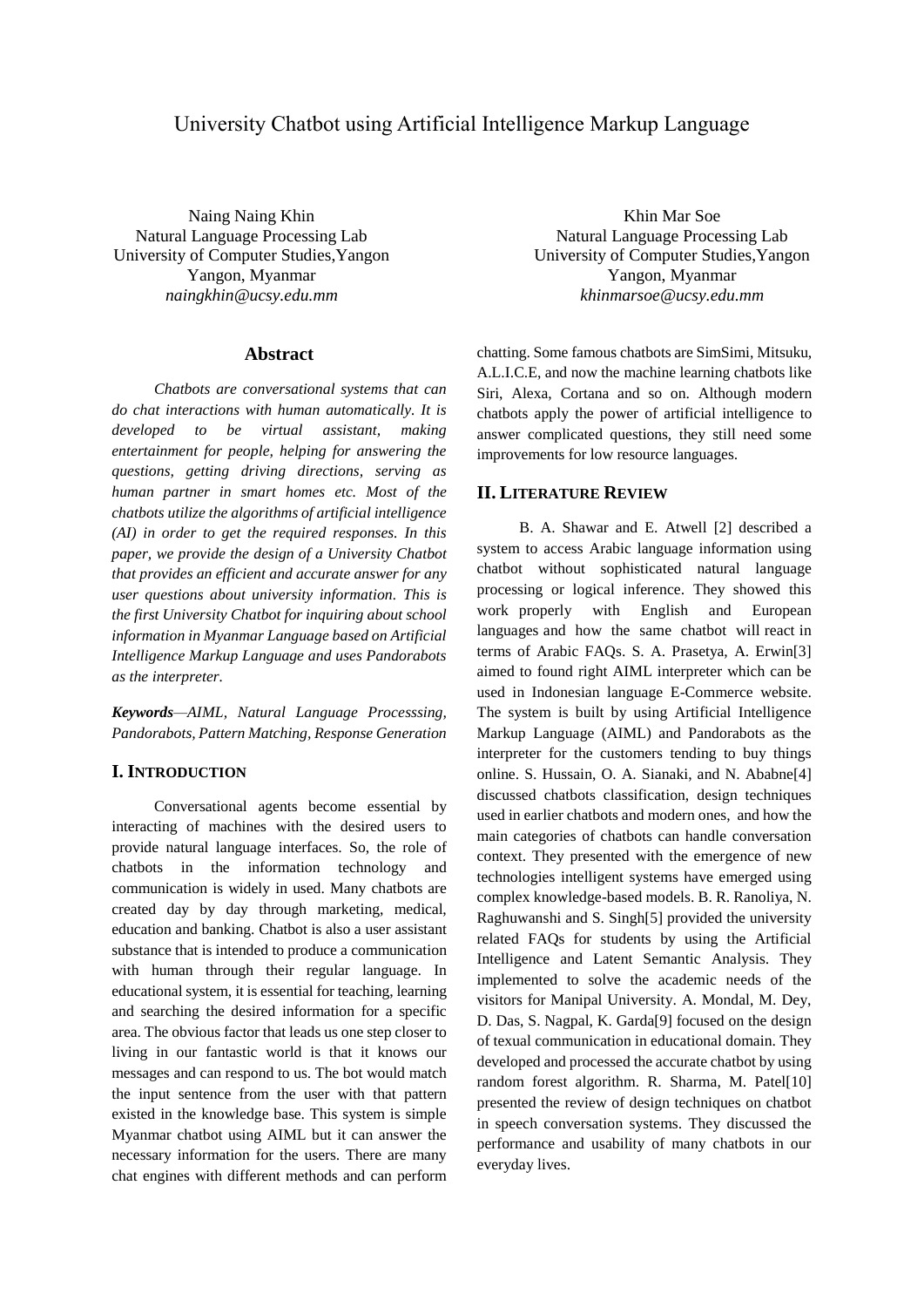# University Chatbot using Artificial Intelligence Markup Language

Naing Naing Khin Natural Language Processing Lab University of Computer Studies,Yangon Yangon, Myanmar *naingkhin@ucsy.edu.mm*

### **Abstract**

*Chatbots are conversational systems that can do chat interactions with human automatically. It is developed to be virtual assistant, making entertainment for people, helping for answering the questions, getting driving directions, serving as human partner in smart homes etc. Most of the chatbots utilize the algorithms of artificial intelligence (AI) in order to get the required responses. In this paper, we provide the design of a University Chatbot that provides an efficient and accurate answer for any user questions about university information. This is the first University Chatbot for inquiring about school information in Myanmar Language based on Artificial Intelligence Markup Language and uses Pandorabots as the interpreter.*

*Keywords—AIML, Natural Language Processsing, Pandorabots, Pattern Matching, Response Generation*

# **I. INTRODUCTION**

Conversational agents become essential by interacting of machines with the desired users to provide natural language interfaces. So, the role of chatbots in the information technology and communication is widely in used. Many chatbots are created day by day through marketing, medical, education and banking. Chatbot is also a user assistant substance that is intended to produce a communication with human through their regular language. In educational system, it is essential for teaching, learning and searching the desired information for a specific area. The obvious factor that leads us one step closer to living in our fantastic world is that it knows our messages and can respond to us. The bot would match the input sentence from the user with that pattern existed in the knowledge base. This system is simple Myanmar chatbot using AIML but it can answer the necessary information for the users. There are many chat engines with different methods and can perform

Khin Mar Soe Natural Language Processing Lab University of Computer Studies,Yangon Yangon, Myanmar *khinmarsoe@ucsy.edu.mm*

chatting. Some famous chatbots are SimSimi, Mitsuku, A.L.I.C.E, and now the machine learning chatbots like Siri, Alexa, Cortana and so on. Although modern chatbots apply the power of artificial intelligence to answer complicated questions, they still need some improvements for low resource languages.

## **II. LITERATURE REVIEW**

B. A. Shawar and E. Atwell [2] described a system to access Arabic language information using chatbot without sophisticated natural language processing or logical inference. They showed this work properly with English and European languages and how the same chatbot will react in terms of Arabic FAQs. S. A. Prasetya, A. Erwin[3] aimed to found right AIML interpreter which can be used in Indonesian language E-Commerce website. The system is built by using Artificial Intelligence Markup Language (AIML) and Pandorabots as the interpreter for the customers tending to buy things online. S. Hussain, O. A. Sianaki, and N. Ababne[4] discussed chatbots classification, design techniques used in earlier chatbots and modern ones, and how the main categories of chatbots can handle conversation context. They presented with the emergence of new technologies intelligent systems have emerged using complex knowledge-based models. B. R. Ranoliya, N. Raghuwanshi and S. Singh[5] provided the university related FAQs for students by using the Artificial Intelligence and Latent Semantic Analysis. They implemented to solve the academic needs of the visitors for Manipal University. A. Mondal, M. Dey, D. Das, S. Nagpal, K. Garda[9] focused on the design of texual communication in educational domain. They developed and processed the accurate chatbot by using random forest algorithm. R. Sharma, M. Patel[10] presented the review of design techniques on chatbot in speech conversation systems. They discussed the performance and usability of many chatbots in our everyday lives.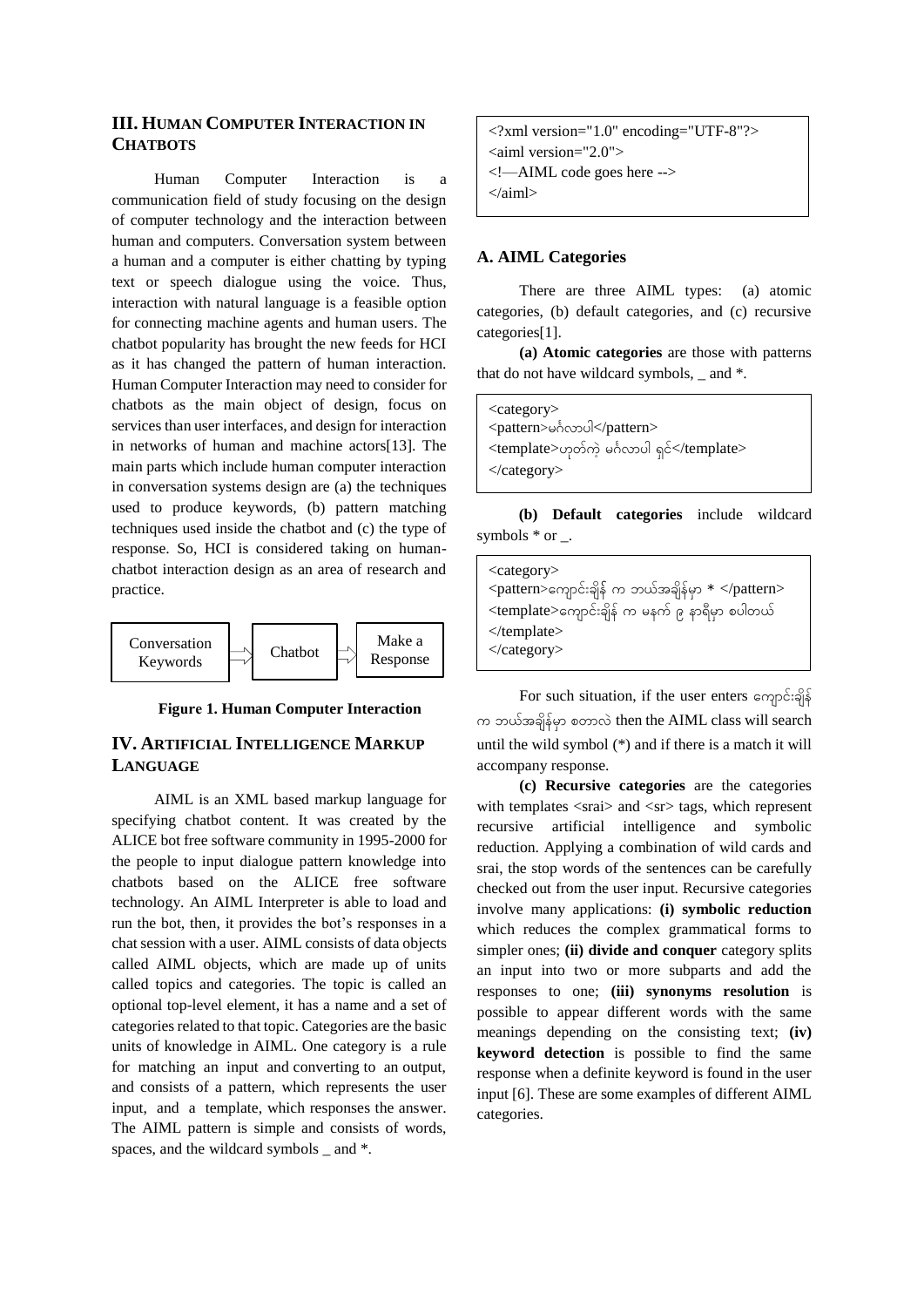# **III. HUMAN COMPUTER INTERACTION IN CHATBOTS**

Human Computer Interaction is a communication field of study focusing on the design of computer technology and the interaction between human and computers. Conversation system between a human and a computer is either chatting by typing text or speech dialogue using the voice. Thus, interaction with natural language is a feasible option for connecting machine agents and human users. The chatbot popularity has brought the new feeds for HCI as it has changed the pattern of human interaction. Human Computer Interaction may need to consider for chatbots as the main object of design, focus on services than user interfaces, and design for interaction in networks of human and machine actors[13]. The main parts which include human computer interaction in conversation systems design are (a) the techniques used to produce keywords, (b) pattern matching techniques used inside the chatbot and (c) the type of response. So, HCI is considered taking on humanchatbot interaction design as an area of research and practice.



### **Figure 1. Human Computer Interaction**

# **IV. ARTIFICIAL INTELLIGENCE MARKUP LANGUAGE**

AIML is an XML based markup language for specifying chatbot content. It was created by the ALICE bot free software community in 1995-2000 for the people to input dialogue pattern knowledge into chatbots based on the ALICE free software technology. An AIML Interpreter is able to load and run the bot, then, it provides the bot's responses in a chat session with a user. AIML consists of data objects called AIML objects, which are made up of units called topics and categories. The topic is called an optional top-level element, it has a name and a set of categories related to that topic. Categories are the basic units of knowledge in AIML. One category is a rule for matching an input and converting to an output, and consists of a pattern, which represents the user input, and a template, which responses the answer. The AIML pattern is simple and consists of words, spaces, and the wildcard symbols and  $*$ .

<?xml version="1.0" encoding="UTF-8"?> <aiml version="2.0"> <!—AIML code goes here --> </aiml>

### **A. AIML Categories**

There are three AIML types: (a) atomic categories, (b) default categories, and (c) recursive categories[1].

**(a) Atomic categories** are those with patterns that do not have wildcard symbols,  $\_$  and  $*$ .

<category> <pattern>မင်္ဂလျောပါ</pattern> <template>ဟုတ်ကဲ့ မင်္ဂလာပါ ရှင်</template> </category>

**(b) Default categories** include wildcard symbols  $*$  or  $\overline{\phantom{a}}$ .

| $\langle category \rangle$                                           |
|----------------------------------------------------------------------|
| $\langle$ pattern>ကျောင်းချိန် က ဘယ်အချိန်မှာ $*$ $\langle$ pattern> |
| <template>ကျောင်းချိန် က မနက် ၉ နာရီမှာ စပါတယ်</template>            |
| $\langle$ template $\rangle$                                         |
|                                                                      |

For such situation, if the user enters ကျောင်းချိန် က ဘယ်အချိန်မှာ စတာလဲ then the AIML class will search until the wild symbol (\*) and if there is a match it will accompany response.

**(c) Recursive categories** are the categories with templates  $\langle$ srai $\rangle$  and  $\langle$ sr $\rangle$  tags, which represent recursive artificial intelligence and symbolic reduction. Applying a combination of wild cards and srai, the stop words of the sentences can be carefully checked out from the user input. Recursive categories involve many applications: **(i) symbolic reduction** which reduces the complex grammatical forms to simpler ones; **(ii) divide and conquer** category splits an input into two or more subparts and add the responses to one; **(iii) synonyms resolution** is possible to appear different words with the same meanings depending on the consisting text; **(iv) keyword detection** is possible to find the same response when a definite keyword is found in the user input [6]. These are some examples of different AIML categories.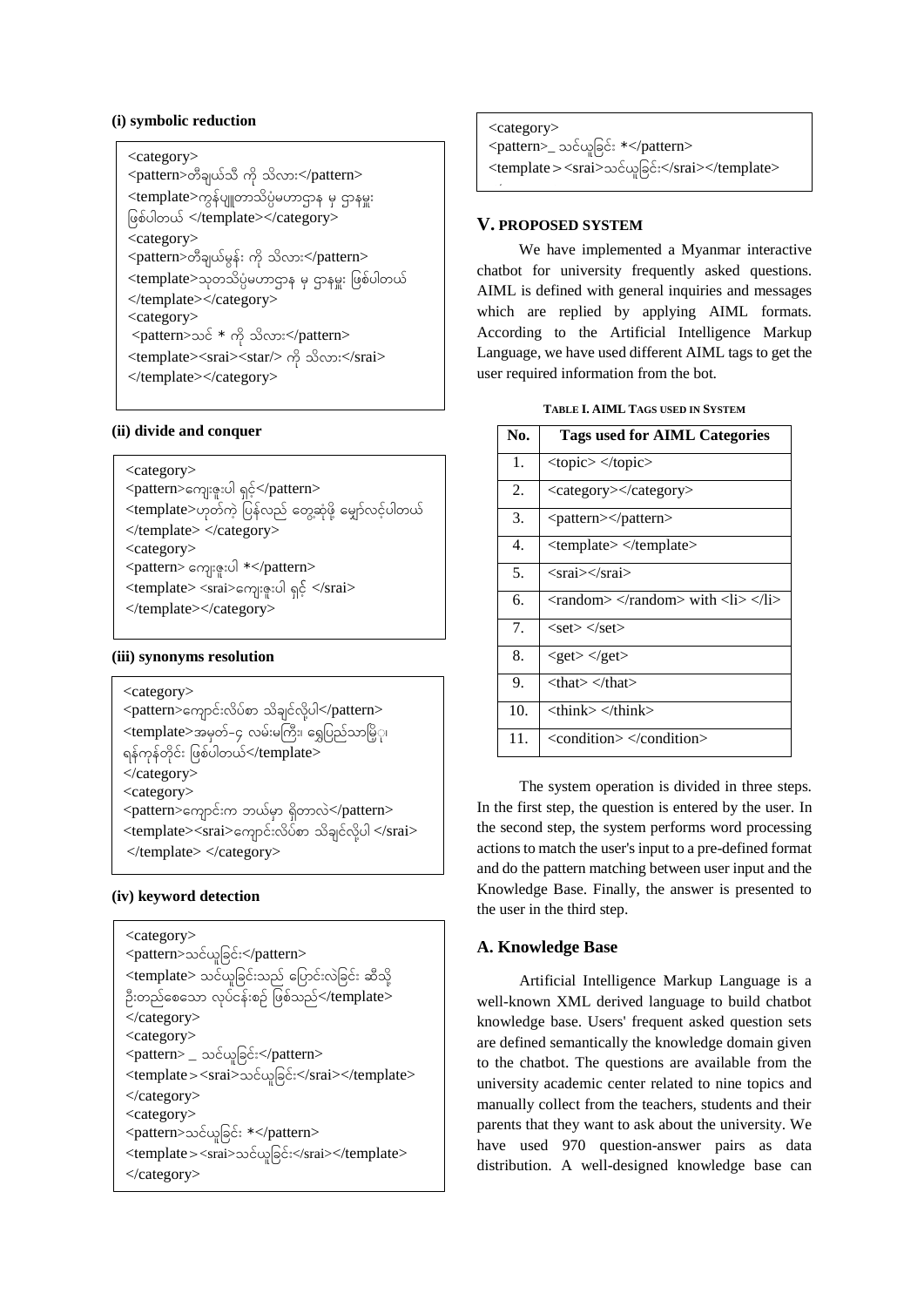# **(i) symbolic reduction**

### <category>

 $\langle$ pattern>တီချယ်သီ ကို သိလား $\langle$ pattern> <template>ကွန်ပျူတာသိပ္ပံမဟာဌာန မှ ဌာနမှူး ဖြစ်ပါတယ် </template></category> <category>  $\langle$ pattern>တီချယ်မွန်း ကို သိလား $\langle$ pattern> <template>သုတသိပ္ပံမဟာဌာန မှ ဌာနမှူး ဖြစ်ပါတယ် </template></category> <category>  $\epsilon$   $\epsilon$  +  $\alpha$   $\beta$   $\epsilon$   $\gamma$   $\epsilon$   $\epsilon$   $\epsilon$   $\epsilon$   $\epsilon$   $\epsilon$ <template><srai><star/> ျို သျိလျော်း</srai> </template></category>

# **(ii) divide and conquer**

# <category>

- <pattern>ကျေးဇူးပါ ရှင့်</pattern> <template>ဟုတ်ကဲ့ ပြန်လည် တွေ့ဆုံဖို့ မျှော်လင့်ပါတယ် </template> </category>
- <category>
- <pattern> ကျေးဇူးပါ \*</pattern>
- <template> <srai>ကျေးဇူးပါ ရှင့် </srai>
- </template></category>

## **(iii) synonyms resolution**

# <category>  $<$ pattern $>$ ကျောင်းလိပ်စာ သိချင်လို့ပါ $<$ /pattern $>$ <template>အမှတ်–၄ လမ်းမကြီး၊ ရွှေပြည်သာမြိ့ု၊ ရန်ကုန်တိုင်း ဖြစ်ပါတယ်</template> </category>

- <category>
- $\leq$ pattern $>$ ကျောင်းက ဘယ်မှာ ရှိတာလဲ $\leq$ pattern $>$ <template><srai>ကျောင်းလိပ်စာ သိချင်လို့ပါ </srai>
- </template> </category>

### **(iv) keyword detection**

| $\langle category \rangle$                                |
|-----------------------------------------------------------|
| <pattern>သင်ယူခြင်း</pattern>                             |
| <template> သင်ယူခြင်းသည် ပြောင်းလဲခြင်း ဆီသို့</template> |
| ဦးတည်စေသော လုပ်ငန်းစဉ် ဖြစ်သည်                            |
| $\langle$ category $>$                                    |
| $\langle category \rangle$                                |
| <pattern> _ သင်ယူခြင်း</pattern>                          |
| <template><srai>သင်ယူခြင်း</srai></template>              |
| $\langle$ category $>$                                    |
| $\langle category \rangle$                                |
| <pattern>သင်ယူခြင်း *</pattern>                           |
| <template><srai>သင်ယူခြင်း</srai></template>              |
| $\langle$ category $>$                                    |

| <category></category>                        |
|----------------------------------------------|
| <pattern>_ သင်ယူခြင်း *</pattern>            |
| <template><srai>သင်ယူခြင်း</srai></template> |
|                                              |

## **V. PROPOSED SYSTEM**

We have implemented a Myanmar interactive chatbot for university frequently asked questions. AIML is defined with general inquiries and messages which are replied by applying AIML formats. According to the Artificial Intelligence Markup Language, we have used different AIML tags to get the user required information from the bot.

| TABLE I. AIML TAGS USED IN SYSTEM |  |  |  |  |
|-----------------------------------|--|--|--|--|
|-----------------------------------|--|--|--|--|

| No.            | <b>Tags used for AIML Categories</b>                                                                                      |
|----------------|---------------------------------------------------------------------------------------------------------------------------|
| 1.             | $<$ topic $>$ $<$ /topic $>$                                                                                              |
| 2.             | <category></category>                                                                                                     |
| 3.             | <pattern></pattern>                                                                                                       |
| 4.             | <template> </template>                                                                                                    |
| 5.             | <srai></srai>                                                                                                             |
| б.             | $\langle \text{random} \rangle \langle \text{random} \rangle$ with $\langle \text{li} \rangle \langle \text{lin} \rangle$ |
| 7 <sub>1</sub> | $<$ set $>$ $<$ /set $>$                                                                                                  |
| 8.             | $<$ get $>$ $<$ /get $>$                                                                                                  |
| 9.             | <that> </that>                                                                                                            |
| 10.            | $<$ think $>$ $<$ /think $>$                                                                                              |
| 11.            | <condition> </condition>                                                                                                  |

The system operation is divided in three steps. In the first step, the question is entered by the user. In the second step, the system performs word processing actions to match the user's input to a pre-defined format and do the pattern matching between user input and the Knowledge Base. Finally, the answer is presented to the user in the third step.

# **A. Knowledge Base**

Artificial Intelligence Markup Language is a well-known XML derived language to build chatbot knowledge base. Users' frequent asked question sets are defined semantically the knowledge domain given to the chatbot. The questions are available from the university academic center related to nine topics and manually collect from the teachers, students and their parents that they want to ask about the university. We have used 970 question-answer pairs as data distribution. A well-designed knowledge base can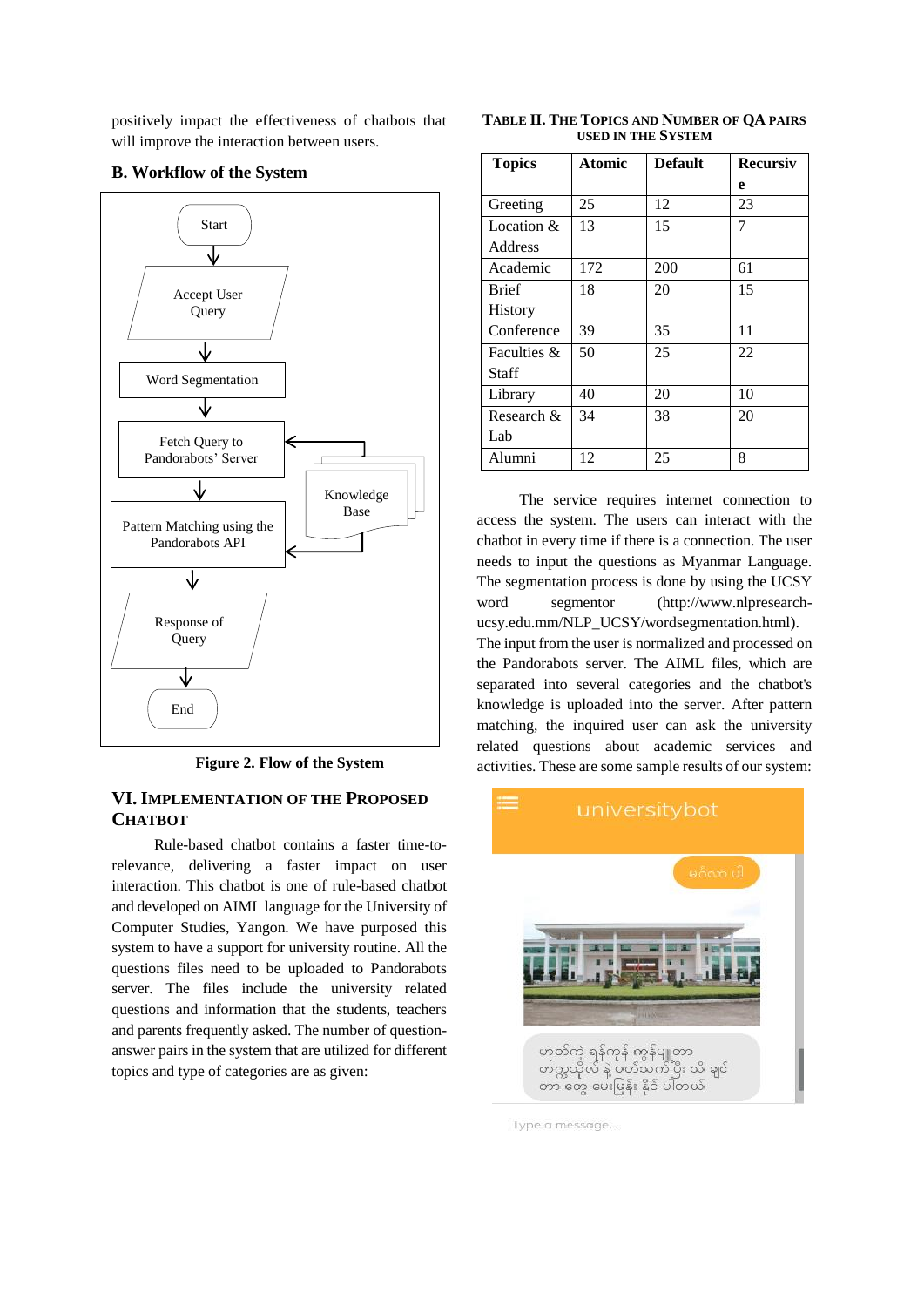positively impact the effectiveness of chatbots that will improve the interaction between users.

## **B. Workflow of the System**



**Figure 2. Flow of the System** 

# **VI. IMPLEMENTATION OF THE PROPOSED CHATBOT**

Rule-based chatbot contains a faster time-torelevance, delivering a faster impact on user interaction. This chatbot is one of rule-based chatbot and developed on AIML language for the University of Computer Studies, Yangon. We have purposed this system to have a support for university routine. All the questions files need to be uploaded to Pandorabots server. The files include the university related questions and information that the students, teachers and parents frequently asked. The number of questionanswer pairs in the system that are utilized for different topics and type of categories are as given:

**TABLE II. THE TOPICS AND NUMBER OF QA PAIRS USED IN THE SYSTEM**

| <b>Topics</b>  | Atomic | <b>Default</b> | <b>Recursiv</b> |  |
|----------------|--------|----------------|-----------------|--|
|                |        |                | e               |  |
| Greeting       | 25     | 12             | 23              |  |
| Location $&$   | 13     | 15             | 7               |  |
| Address        |        |                |                 |  |
| Academic       | 172    | 200            | 61              |  |
| <b>Brief</b>   | 18     | 20             | 15              |  |
| <b>History</b> |        |                |                 |  |
| Conference     | 39     | 35             | 11              |  |
| Faculties &    | 50     | 25             | 22              |  |
| Staff          |        |                |                 |  |
| Library        | 40     | 20             | 10              |  |
| Research &     | 34     | 38             | 20              |  |
| Lab            |        |                |                 |  |
| Alumni         | 12     | 25             | 8               |  |

The service requires internet connection to access the system. The users can interact with the chatbot in every time if there is a connection. The user needs to input the questions as Myanmar Language. The segmentation process is done by using the UCSY word segmentor (http://www.nlpresearchucsy.edu.mm/NLP\_UCSY/wordsegmentation.html). The input from the user is normalized and processed on the Pandorabots server. The AIML files, which are separated into several categories and the chatbot's knowledge is uploaded into the server. After pattern matching, the inquired user can ask the university related questions about academic services and activities. These are some sample results of our system:



Type a message...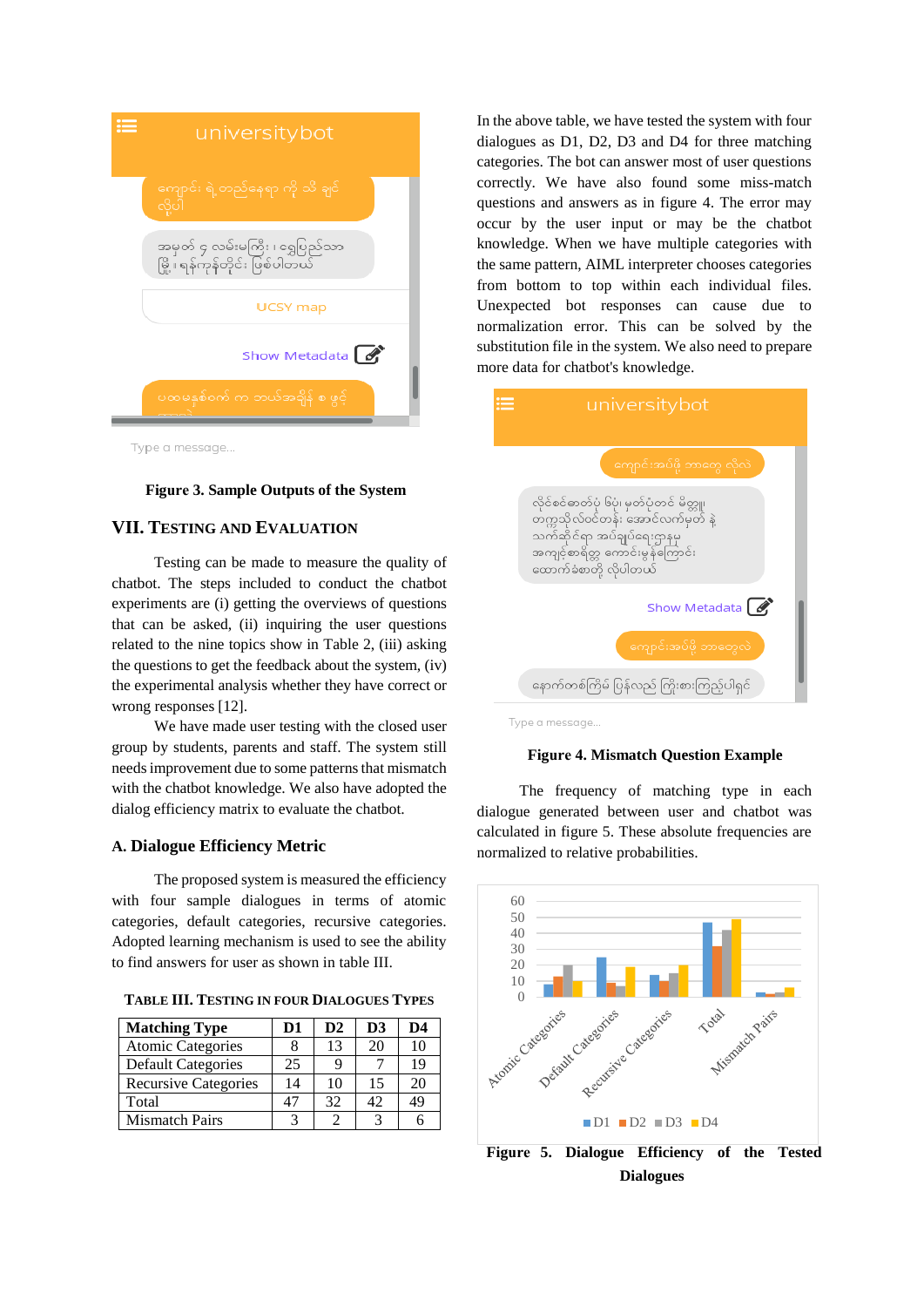

#### **Figure 3. Sample Outputs of the System**

## **VII. TESTING AND EVALUATION**

Testing can be made to measure the quality of chatbot. The steps included to conduct the chatbot experiments are (i) getting the overviews of questions that can be asked, (ii) inquiring the user questions related to the nine topics show in Table 2, (iii) asking the questions to get the feedback about the system, (iv) the experimental analysis whether they have correct or wrong responses [12].

We have made user testing with the closed user group by students, parents and staff. The system still needs improvement due to some patterns that mismatch with the chatbot knowledge. We also have adopted the dialog efficiency matrix to evaluate the chatbot.

### **A. Dialogue Efficiency Metric**

The proposed system is measured the efficiency with four sample dialogues in terms of atomic categories, default categories, recursive categories. Adopted learning mechanism is used to see the ability to find answers for user as shown in table III.

**TABLE III. TESTING IN FOUR DIALOGUES TYPES**

| <b>Matching Type</b>        | D1 | $\mathbf{D2}$ | D <sub>3</sub> | D4 |
|-----------------------------|----|---------------|----------------|----|
| <b>Atomic Categories</b>    |    | 13            | 20             | 10 |
| <b>Default Categories</b>   | 25 |               |                | 19 |
| <b>Recursive Categories</b> | 14 | 10            | 15             | 20 |
| Total                       | 47 | 32            | 42             | 49 |
| <b>Mismatch Pairs</b>       |    |               |                |    |

In the above table, we have tested the system with four dialogues as D1, D2, D3 and D4 for three matching categories. The bot can answer most of user questions correctly. We have also found some miss-match questions and answers as in figure 4. The error may occur by the user input or may be the chatbot knowledge. When we have multiple categories with the same pattern, AIML interpreter chooses categories from bottom to top within each individual files. Unexpected bot responses can cause due to normalization error. This can be solved by the substitution file in the system. We also need to prepare more data for chatbot's knowledge.



Type a message..

### **Figure 4. Mismatch Question Example**

The frequency of matching type in each dialogue generated between user and chatbot was calculated in figure 5. These absolute frequencies are normalized to relative probabilities.



**Figure 5. Dialogue Efficiency of the Tested Dialogues**